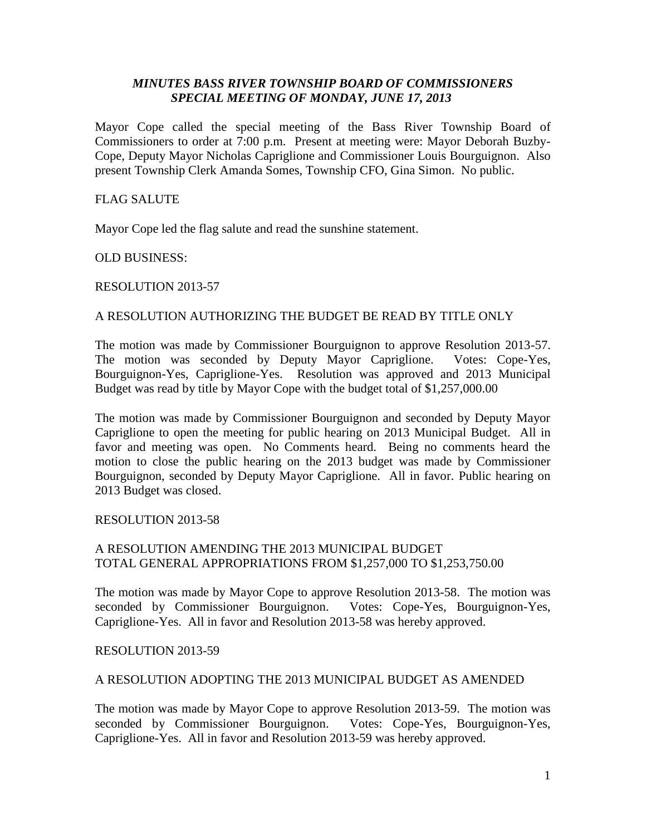# *MINUTES BASS RIVER TOWNSHIP BOARD OF COMMISSIONERS SPECIAL MEETING OF MONDAY, JUNE 17, 2013*

Mayor Cope called the special meeting of the Bass River Township Board of Commissioners to order at 7:00 p.m. Present at meeting were: Mayor Deborah Buzby-Cope, Deputy Mayor Nicholas Capriglione and Commissioner Louis Bourguignon. Also present Township Clerk Amanda Somes, Township CFO, Gina Simon. No public.

## FLAG SALUTE

Mayor Cope led the flag salute and read the sunshine statement.

OLD BUSINESS:

### RESOLUTION 2013-57

### A RESOLUTION AUTHORIZING THE BUDGET BE READ BY TITLE ONLY

The motion was made by Commissioner Bourguignon to approve Resolution 2013-57. The motion was seconded by Deputy Mayor Capriglione. Votes: Cope-Yes, Bourguignon-Yes, Capriglione-Yes. Resolution was approved and 2013 Municipal Budget was read by title by Mayor Cope with the budget total of \$1,257,000.00

The motion was made by Commissioner Bourguignon and seconded by Deputy Mayor Capriglione to open the meeting for public hearing on 2013 Municipal Budget. All in favor and meeting was open. No Comments heard. Being no comments heard the motion to close the public hearing on the 2013 budget was made by Commissioner Bourguignon, seconded by Deputy Mayor Capriglione. All in favor. Public hearing on 2013 Budget was closed.

#### RESOLUTION 2013-58

### A RESOLUTION AMENDING THE 2013 MUNICIPAL BUDGET TOTAL GENERAL APPROPRIATIONS FROM \$1,257,000 TO \$1,253,750.00

The motion was made by Mayor Cope to approve Resolution 2013-58. The motion was seconded by Commissioner Bourguignon. Votes: Cope-Yes, Bourguignon-Yes, Capriglione-Yes. All in favor and Resolution 2013-58 was hereby approved.

#### RESOLUTION 2013-59

### A RESOLUTION ADOPTING THE 2013 MUNICIPAL BUDGET AS AMENDED

The motion was made by Mayor Cope to approve Resolution 2013-59. The motion was seconded by Commissioner Bourguignon. Votes: Cope-Yes, Bourguignon-Yes, Capriglione-Yes. All in favor and Resolution 2013-59 was hereby approved.